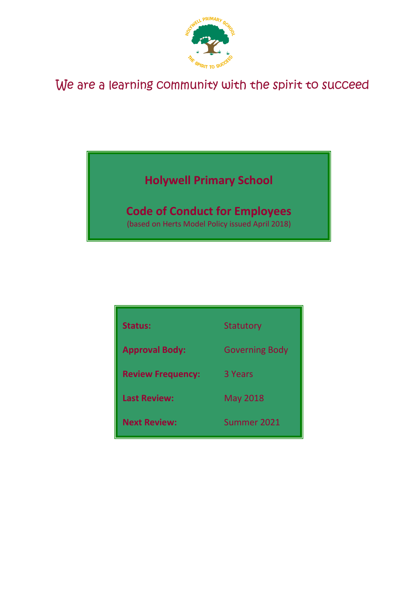

# We are a learning community with the spirit to succeed

# **Holywell Primary School**

## **Code of Conduct for Employees**

(based on Herts Model Policy issued April 2018)

| <b>Status:</b>           | <b>Statutory</b>      |
|--------------------------|-----------------------|
| <b>Approval Body:</b>    | <b>Governing Body</b> |
| <b>Review Frequency:</b> | 3 Years               |
| <b>Last Review:</b>      | <b>May 2018</b>       |
| <b>Next Review:</b>      | Summer 2021           |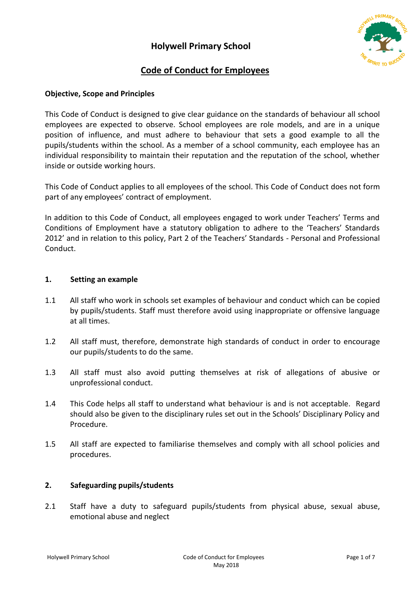

## **Code of Conduct for Employees**

## **Objective, Scope and Principles**

This Code of Conduct is designed to give clear guidance on the standards of behaviour all school employees are expected to observe. School employees are role models, and are in a unique position of influence, and must adhere to behaviour that sets a good example to all the pupils/students within the school. As a member of a school community, each employee has an individual responsibility to maintain their reputation and the reputation of the school, whether inside or outside working hours.

This Code of Conduct applies to all employees of the school. This Code of Conduct does not form part of any employees' contract of employment.

In addition to this Code of Conduct, all employees engaged to work under Teachers' Terms and Conditions of Employment have a statutory obligation to adhere to the 'Teachers' Standards 2012' and in relation to this policy, Part 2 of the Teachers' Standards - Personal and Professional Conduct.

### **1. Setting an example**

- 1.1 All staff who work in schools set examples of behaviour and conduct which can be copied by pupils/students. Staff must therefore avoid using inappropriate or offensive language at all times.
- 1.2 All staff must, therefore, demonstrate high standards of conduct in order to encourage our pupils/students to do the same.
- 1.3 All staff must also avoid putting themselves at risk of allegations of abusive or unprofessional conduct.
- 1.4 This Code helps all staff to understand what behaviour is and is not acceptable. Regard should also be given to the disciplinary rules set out in the Schools' Disciplinary Policy and Procedure.
- 1.5 All staff are expected to familiarise themselves and comply with all school policies and procedures.

### **2. Safeguarding pupils/students**

2.1 Staff have a duty to safeguard pupils/students from physical abuse, sexual abuse, emotional abuse and neglect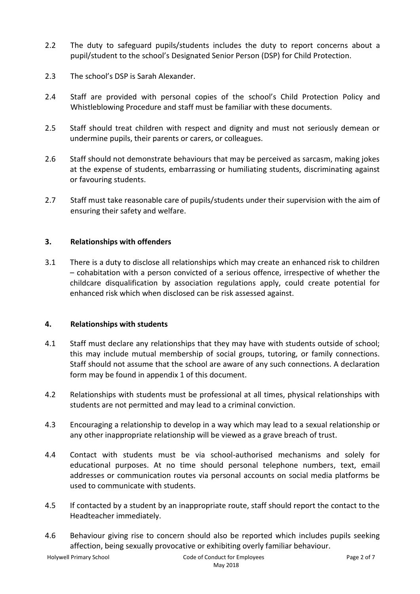- 2.2 The duty to safeguard pupils/students includes the duty to report concerns about a pupil/student to the school's Designated Senior Person (DSP) for Child Protection.
- 2.3 The school's DSP is Sarah Alexander.
- 2.4 Staff are provided with personal copies of the school's Child Protection Policy and Whistleblowing Procedure and staff must be familiar with these documents.
- 2.5 Staff should treat children with respect and dignity and must not seriously demean or undermine pupils, their parents or carers, or colleagues.
- 2.6 Staff should not demonstrate behaviours that may be perceived as sarcasm, making jokes at the expense of students, embarrassing or humiliating students, discriminating against or favouring students.
- 2.7 Staff must take reasonable care of pupils/students under their supervision with the aim of ensuring their safety and welfare.

## **3. Relationships with offenders**

3.1 There is a duty to disclose all relationships which may create an enhanced risk to children – cohabitation with a person convicted of a serious offence, irrespective of whether the childcare disqualification by association regulations apply, could create potential for enhanced risk which when disclosed can be risk assessed against.

### **4. Relationships with students**

- 4.1 Staff must declare any relationships that they may have with students outside of school; this may include mutual membership of social groups, tutoring, or family connections. Staff should not assume that the school are aware of any such connections. A declaration form may be found in appendix 1 of this document.
- 4.2 Relationships with students must be professional at all times, physical relationships with students are not permitted and may lead to a criminal conviction.
- 4.3 Encouraging a relationship to develop in a way which may lead to a sexual relationship or any other inappropriate relationship will be viewed as a grave breach of trust.
- 4.4 Contact with students must be via school-authorised mechanisms and solely for educational purposes. At no time should personal telephone numbers, text, email addresses or communication routes via personal accounts on social media platforms be used to communicate with students.
- 4.5 If contacted by a student by an inappropriate route, staff should report the contact to the Headteacher immediately.
- 4.6 Behaviour giving rise to concern should also be reported which includes pupils seeking affection, being sexually provocative or exhibiting overly familiar behaviour.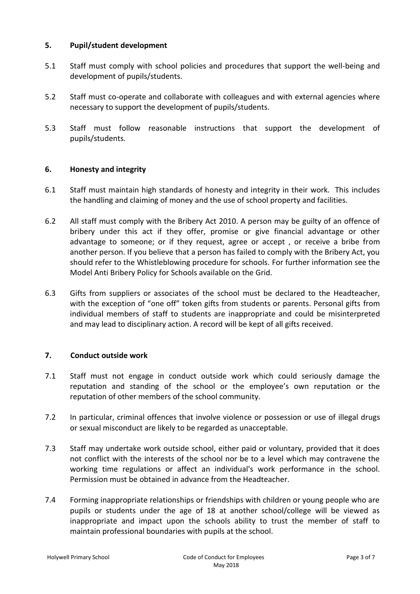## **5. Pupil/student development**

- 5.1 Staff must comply with school policies and procedures that support the well-being and development of pupils/students.
- 5.2 Staff must co-operate and collaborate with colleagues and with external agencies where necessary to support the development of pupils/students.
- 5.3 Staff must follow reasonable instructions that support the development of pupils/students.

## **6. Honesty and integrity**

- 6.1 Staff must maintain high standards of honesty and integrity in their work. This includes the handling and claiming of money and the use of school property and facilities.
- 6.2 All staff must comply with the Bribery Act 2010. A person may be guilty of an offence of bribery under this act if they offer, promise or give financial advantage or other advantage to someone; or if they request, agree or accept , or receive a bribe from another person. If you believe that a person has failed to comply with the Bribery Act, you should refer to the Whistleblowing procedure for schools. For further information see the Model Anti Bribery Policy for Schools available on the Grid.
- 6.3 Gifts from suppliers or associates of the school must be declared to the Headteacher, with the exception of "one off" token gifts from students or parents. Personal gifts from individual members of staff to students are inappropriate and could be misinterpreted and may lead to disciplinary action. A record will be kept of all gifts received.

## **7. Conduct outside work**

- 7.1 Staff must not engage in conduct outside work which could seriously damage the reputation and standing of the school or the employee's own reputation or the reputation of other members of the school community.
- 7.2 In particular, criminal offences that involve violence or possession or use of illegal drugs or sexual misconduct are likely to be regarded as unacceptable.
- 7.3 Staff may undertake work outside school, either paid or voluntary, provided that it does not conflict with the interests of the school nor be to a level which may contravene the working time regulations or affect an individual's work performance in the school. Permission must be obtained in advance from the Headteacher.
- 7.4 Forming inappropriate relationships or friendships with children or young people who are pupils or students under the age of 18 at another school/college will be viewed as inappropriate and impact upon the schools ability to trust the member of staff to maintain professional boundaries with pupils at the school.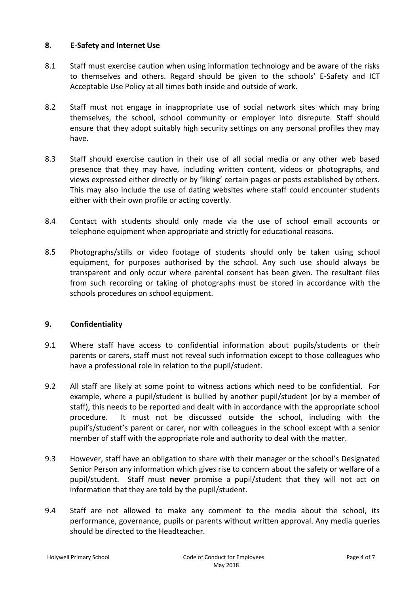## **8. E-Safety and Internet Use**

- 8.1 Staff must exercise caution when using information technology and be aware of the risks to themselves and others. Regard should be given to the schools' E-Safety and ICT Acceptable Use Policy at all times both inside and outside of work.
- 8.2 Staff must not engage in inappropriate use of social network sites which may bring themselves, the school, school community or employer into disrepute. Staff should ensure that they adopt suitably high security settings on any personal profiles they may have.
- 8.3 Staff should exercise caution in their use of all social media or any other web based presence that they may have, including written content, videos or photographs, and views expressed either directly or by 'liking' certain pages or posts established by others. This may also include the use of dating websites where staff could encounter students either with their own profile or acting covertly.
- 8.4 Contact with students should only made via the use of school email accounts or telephone equipment when appropriate and strictly for educational reasons.
- 8.5 Photographs/stills or video footage of students should only be taken using school equipment, for purposes authorised by the school. Any such use should always be transparent and only occur where parental consent has been given. The resultant files from such recording or taking of photographs must be stored in accordance with the schools procedures on school equipment.

## **9. Confidentiality**

- 9.1 Where staff have access to confidential information about pupils/students or their parents or carers, staff must not reveal such information except to those colleagues who have a professional role in relation to the pupil/student.
- 9.2 All staff are likely at some point to witness actions which need to be confidential. For example, where a pupil/student is bullied by another pupil/student (or by a member of staff), this needs to be reported and dealt with in accordance with the appropriate school procedure. It must not be discussed outside the school, including with the pupil's/student's parent or carer, nor with colleagues in the school except with a senior member of staff with the appropriate role and authority to deal with the matter.
- 9.3 However, staff have an obligation to share with their manager or the school's Designated Senior Person any information which gives rise to concern about the safety or welfare of a pupil/student. Staff must **never** promise a pupil/student that they will not act on information that they are told by the pupil/student.
- 9.4 Staff are not allowed to make any comment to the media about the school, its performance, governance, pupils or parents without written approval. Any media queries should be directed to the Headteacher.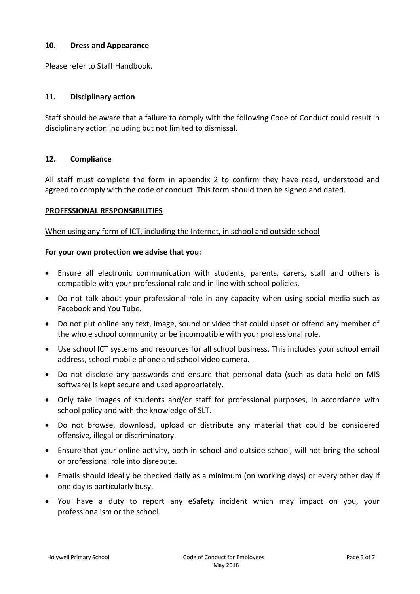## **10. Dress and Appearance**

Please refer to Staff Handbook.

## **11. Disciplinary action**

Staff should be aware that a failure to comply with the following Code of Conduct could result in disciplinary action including but not limited to dismissal.

### **12. Compliance**

All staff must complete the form in appendix 2 to confirm they have read, understood and agreed to comply with the code of conduct. This form should then be signed and dated.

### **PROFESSIONAL RESPONSIBILITIES**

### When using any form of ICT, including the Internet, in school and outside school

#### **For your own protection we advise that you:**

- Ensure all electronic communication with students, parents, carers, staff and others is compatible with your professional role and in line with school policies.
- Do not talk about your professional role in any capacity when using social media such as Facebook and You Tube.
- Do not put online any text, image, sound or video that could upset or offend any member of the whole school community or be incompatible with your professional role.
- Use school ICT systems and resources for all school business. This includes your school email address, school mobile phone and school video camera.
- Do not disclose any passwords and ensure that personal data (such as data held on MIS software) is kept secure and used appropriately.
- Only take images of students and/or staff for professional purposes, in accordance with school policy and with the knowledge of SLT.
- Do not browse, download, upload or distribute any material that could be considered offensive, illegal or discriminatory.
- Ensure that your online activity, both in school and outside school, will not bring the school or professional role into disrepute.
- Emails should ideally be checked daily as a minimum (on working days) or every other day if one day is particularly busy.
- You have a duty to report any eSafety incident which may impact on you, your professionalism or the school.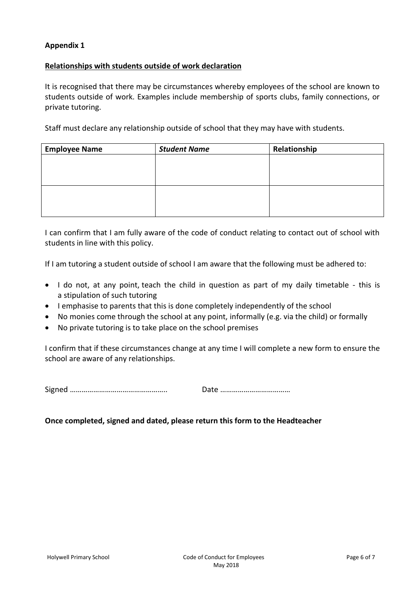## **Appendix 1**

## **Relationships with students outside of work declaration**

It is recognised that there may be circumstances whereby employees of the school are known to students outside of work. Examples include membership of sports clubs, family connections, or private tutoring.

Staff must declare any relationship outside of school that they may have with students.

| <b>Employee Name</b> | <b>Student Name</b> | Relationship |  |
|----------------------|---------------------|--------------|--|
|                      |                     |              |  |
|                      |                     |              |  |
|                      |                     |              |  |
|                      |                     |              |  |
|                      |                     |              |  |
|                      |                     |              |  |

I can confirm that I am fully aware of the code of conduct relating to contact out of school with students in line with this policy.

If I am tutoring a student outside of school I am aware that the following must be adhered to:

- I do not, at any point, teach the child in question as part of my daily timetable this is a stipulation of such tutoring
- I emphasise to parents that this is done completely independently of the school
- No monies come through the school at any point, informally (e.g. via the child) or formally
- No private tutoring is to take place on the school premises

I confirm that if these circumstances change at any time I will complete a new form to ensure the school are aware of any relationships.

Signed ………………………………………….. Date ………………………………

### **Once completed, signed and dated, please return this form to the Headteacher**